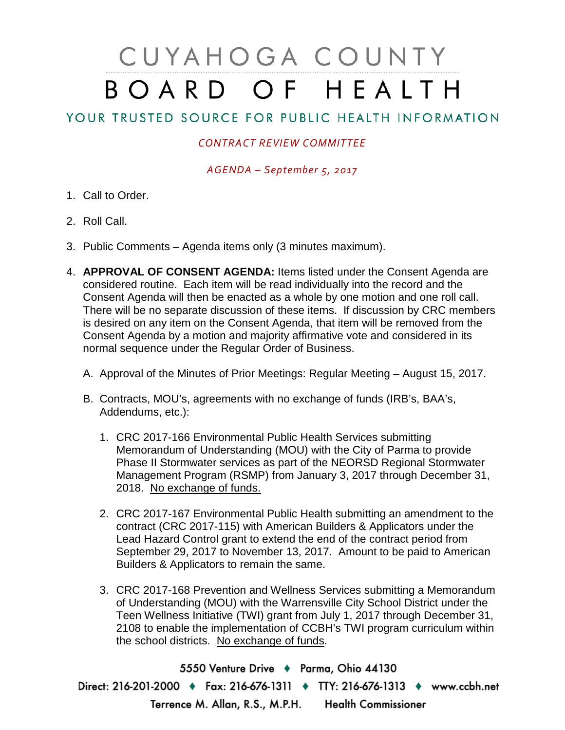## CUYAHOGA COUNTY BOARD OF HEALTH

## YOUR TRUSTED SOURCE FOR PUBLIC HEALTH INFORMATION

## *CONTRACT REVIEW COMMITTEE*

*AGENDA – September 5, 2017*

- 1. Call to Order.
- 2. Roll Call.
- 3. Public Comments Agenda items only (3 minutes maximum).
- 4. **APPROVAL OF CONSENT AGENDA:** Items listed under the Consent Agenda are considered routine. Each item will be read individually into the record and the Consent Agenda will then be enacted as a whole by one motion and one roll call. There will be no separate discussion of these items. If discussion by CRC members is desired on any item on the Consent Agenda, that item will be removed from the Consent Agenda by a motion and majority affirmative vote and considered in its normal sequence under the Regular Order of Business.
	- A. Approval of the Minutes of Prior Meetings: Regular Meeting August 15, 2017.
	- B. Contracts, MOU's, agreements with no exchange of funds (IRB's, BAA's, Addendums, etc.):
		- 1. CRC 2017-166 Environmental Public Health Services submitting Memorandum of Understanding (MOU) with the City of Parma to provide Phase II Stormwater services as part of the NEORSD Regional Stormwater Management Program (RSMP) from January 3, 2017 through December 31, 2018. No exchange of funds.
		- 2. CRC 2017-167 Environmental Public Health submitting an amendment to the contract (CRC 2017-115) with American Builders & Applicators under the Lead Hazard Control grant to extend the end of the contract period from September 29, 2017 to November 13, 2017. Amount to be paid to American Builders & Applicators to remain the same.
		- 3. CRC 2017-168 Prevention and Wellness Services submitting a Memorandum of Understanding (MOU) with the Warrensville City School District under the Teen Wellness Initiative (TWI) grant from July 1, 2017 through December 31, 2108 to enable the implementation of CCBH's TWI program curriculum within the school districts. No exchange of funds.

5550 Venture Drive + Parma, Ohio 44130 Direct: 216-201-2000 • Fax: 216-676-1311 • TTY: 216-676-1313 • www.ccbh.net Terrence M. Allan, R.S., M.P.H. Health Commissioner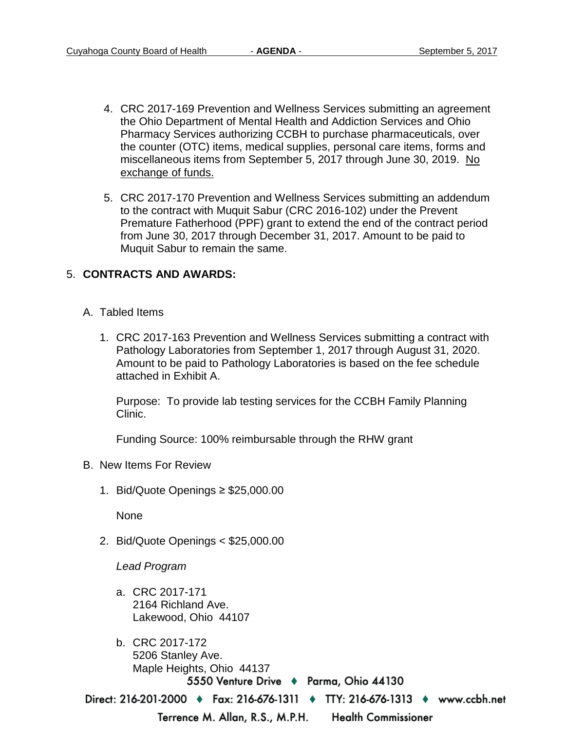- 4. CRC 2017-169 Prevention and Wellness Services submitting an agreement the Ohio Department of Mental Health and Addiction Services and Ohio Pharmacy Services authorizing CCBH to purchase pharmaceuticals, over the counter (OTC) items, medical supplies, personal care items, forms and miscellaneous items from September 5, 2017 through June 30, 2019. No exchange of funds.
- 5. CRC 2017-170 Prevention and Wellness Services submitting an addendum to the contract with Muquit Sabur (CRC 2016-102) under the Prevent Premature Fatherhood (PPF) grant to extend the end of the contract period from June 30, 2017 through December 31, 2017. Amount to be paid to Muquit Sabur to remain the same.

## 5. **CONTRACTS AND AWARDS:**

- A. Tabled Items
	- 1. CRC 2017-163 Prevention and Wellness Services submitting a contract with Pathology Laboratories from September 1, 2017 through August 31, 2020. Amount to be paid to Pathology Laboratories is based on the fee schedule attached in Exhibit A.

Purpose: To provide lab testing services for the CCBH Family Planning Clinic.

Funding Source: 100% reimbursable through the RHW grant

- B. New Items For Review
	- 1. Bid/Quote Openings ≥ \$25,000.00

None

2. Bid/Quote Openings < \$25,000.00

*Lead Program* 

- a. CRC 2017-171 2164 Richland Ave. Lakewood, Ohio 44107
- b. CRC 2017-172 5206 Stanley Ave. Maple Heights, Ohio 441375550 Venture Drive + Parma, Ohio 44130

Direct: 216-201-2000 • Fax: 216-676-1311 • TTY: 216-676-1313 • www.ccbh.net

Terrence M. Allan, R.S., M.P.H.

**Health Commissioner**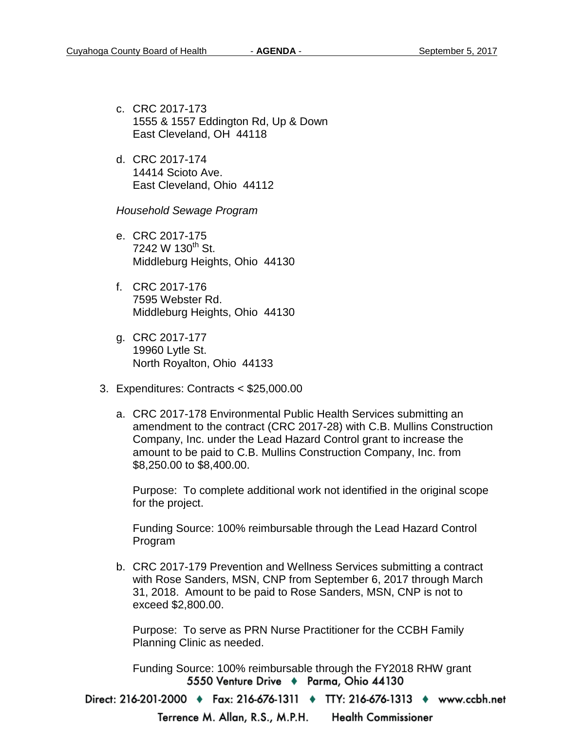- c. CRC 2017-173 1555 & 1557 Eddington Rd, Up & Down East Cleveland, OH 44118
- d. CRC 2017-174 14414 Scioto Ave. East Cleveland, Ohio 44112

*Household Sewage Program* 

- e. CRC 2017-175  $7242 \text{ W } 130^{\text{th}}$  St. Middleburg Heights, Ohio 44130
- f. CRC 2017-176 7595 Webster Rd. Middleburg Heights, Ohio 44130
- g. CRC 2017-177 19960 Lytle St. North Royalton, Ohio 44133
- 3. Expenditures: Contracts < \$25,000.00
	- a. CRC 2017-178 Environmental Public Health Services submitting an amendment to the contract (CRC 2017-28) with C.B. Mullins Construction Company, Inc. under the Lead Hazard Control grant to increase the amount to be paid to C.B. Mullins Construction Company, Inc. from \$8,250.00 to \$8,400.00.

Purpose: To complete additional work not identified in the original scope for the project.

Funding Source: 100% reimbursable through the Lead Hazard Control Program

b. CRC 2017-179 Prevention and Wellness Services submitting a contract with Rose Sanders, MSN, CNP from September 6, 2017 through March 31, 2018. Amount to be paid to Rose Sanders, MSN, CNP is not to exceed \$2,800.00.

Purpose: To serve as PRN Nurse Practitioner for the CCBH Family Planning Clinic as needed.

Funding Source: 100% reimbursable through the FY2018 RHW grant5550 Venture Drive + Parma, Ohio 44130

Direct: 216-201-2000 • Fax: 216-676-1311 • TTY: 216-676-1313 • www.ccbh.net

Terrence M. Allan, R.S., M.P.H. **Health Commissioner**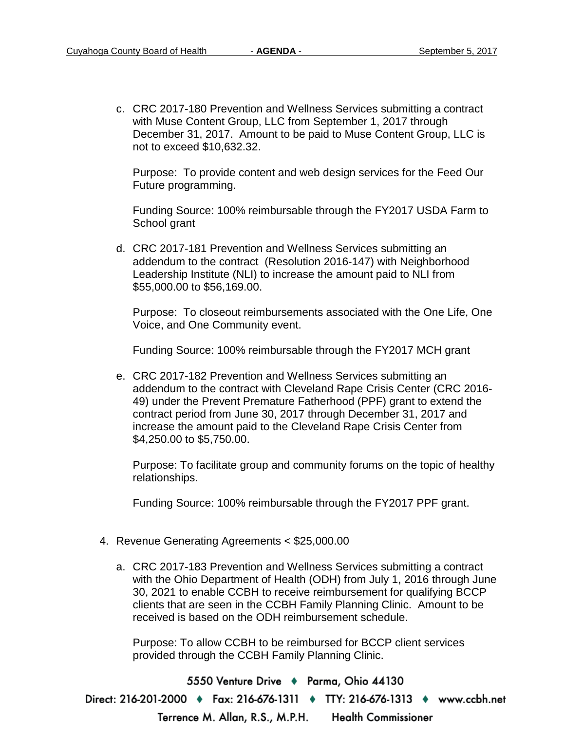c. CRC 2017-180 Prevention and Wellness Services submitting a contract with Muse Content Group, LLC from September 1, 2017 through December 31, 2017. Amount to be paid to Muse Content Group, LLC is not to exceed \$10,632.32.

Purpose: To provide content and web design services for the Feed Our Future programming.

Funding Source: 100% reimbursable through the FY2017 USDA Farm to School grant

d. CRC 2017-181 Prevention and Wellness Services submitting an addendum to the contract (Resolution 2016-147) with Neighborhood Leadership Institute (NLI) to increase the amount paid to NLI from \$55,000.00 to \$56,169.00.

Purpose: To closeout reimbursements associated with the One Life, One Voice, and One Community event.

Funding Source: 100% reimbursable through the FY2017 MCH grant

e. CRC 2017-182 Prevention and Wellness Services submitting an addendum to the contract with Cleveland Rape Crisis Center (CRC 2016- 49) under the Prevent Premature Fatherhood (PPF) grant to extend the contract period from June 30, 2017 through December 31, 2017 and increase the amount paid to the Cleveland Rape Crisis Center from \$4,250.00 to \$5,750.00.

Purpose: To facilitate group and community forums on the topic of healthy relationships.

Funding Source: 100% reimbursable through the FY2017 PPF grant.

- 4. Revenue Generating Agreements < \$25,000.00
	- a. CRC 2017-183 Prevention and Wellness Services submitting a contract with the Ohio Department of Health (ODH) from July 1, 2016 through June 30, 2021 to enable CCBH to receive reimbursement for qualifying BCCP clients that are seen in the CCBH Family Planning Clinic. Amount to be received is based on the ODH reimbursement schedule.

Purpose: To allow CCBH to be reimbursed for BCCP client services provided through the CCBH Family Planning Clinic.

5550 Venture Drive + Parma, Ohio 44130 Direct: 216-201-2000 • Fax: 216-676-1311 • TTY: 216-676-1313 • www.ccbh.net Terrence M. Allan, R.S., M.P.H. **Health Commissioner**